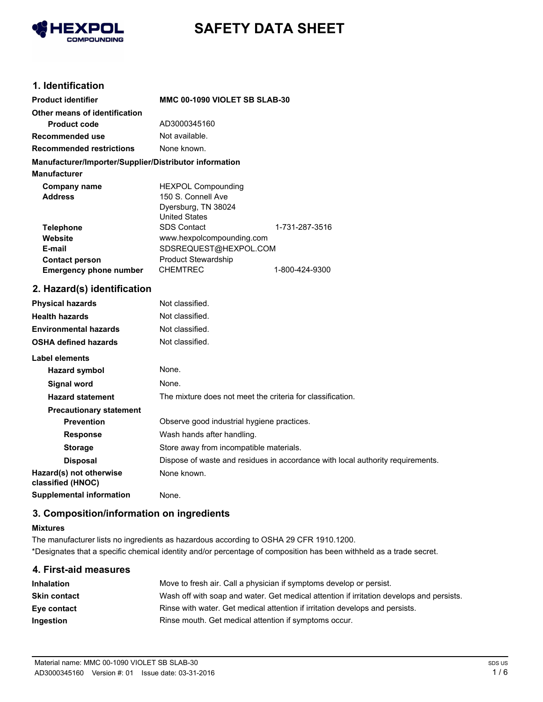

# **SAFETY DATA SHEET**

# **1. Identification**

| <b>Product identifier</b>                              | MMC 00-1090 VIOLET SB SLAB-30 |                |
|--------------------------------------------------------|-------------------------------|----------------|
| Other means of identification                          |                               |                |
| <b>Product code</b>                                    | AD3000345160                  |                |
| Recommended use                                        | Not available.                |                |
| <b>Recommended restrictions</b>                        | None known.                   |                |
| Manufacturer/Importer/Supplier/Distributor information |                               |                |
| <b>Manufacturer</b>                                    |                               |                |
| Company name                                           | <b>HEXPOL Compounding</b>     |                |
| <b>Address</b>                                         | 150 S. Connell Ave            |                |
|                                                        | Dyersburg, TN 38024           |                |
|                                                        | <b>United States</b>          |                |
| <b>Telephone</b>                                       | <b>SDS Contact</b>            | 1-731-287-3516 |
| Website                                                | www.hexpolcompounding.com     |                |
| E-mail                                                 | SDSREQUEST@HEXPOL.COM         |                |
| <b>Contact person</b>                                  | <b>Product Stewardship</b>    |                |
| <b>Emergency phone number</b>                          | <b>CHEMTREC</b>               | 1-800-424-9300 |

### **2. Hazard(s) identification**

| <b>Physical hazards</b>                      | Not classified.                                                                |
|----------------------------------------------|--------------------------------------------------------------------------------|
| <b>Health hazards</b>                        | Not classified.                                                                |
| <b>Environmental hazards</b>                 | Not classified.                                                                |
| <b>OSHA defined hazards</b>                  | Not classified.                                                                |
| Label elements                               |                                                                                |
| Hazard symbol                                | None.                                                                          |
| Signal word                                  | None.                                                                          |
| <b>Hazard statement</b>                      | The mixture does not meet the criteria for classification.                     |
| <b>Precautionary statement</b>               |                                                                                |
| <b>Prevention</b>                            | Observe good industrial hygiene practices.                                     |
| <b>Response</b>                              | Wash hands after handling.                                                     |
| <b>Storage</b>                               | Store away from incompatible materials.                                        |
| <b>Disposal</b>                              | Dispose of waste and residues in accordance with local authority requirements. |
| Hazard(s) not otherwise<br>classified (HNOC) | None known.                                                                    |
| <b>Supplemental information</b>              | None.                                                                          |

# **3. Composition/information on ingredients**

### **Mixtures**

The manufacturer lists no ingredients as hazardous according to OSHA 29 CFR 1910.1200. \*Designates that a specific chemical identity and/or percentage of composition has been withheld as a trade secret.

| 4. First-aid measures |                                                                                          |
|-----------------------|------------------------------------------------------------------------------------------|
| Inhalation            | Move to fresh air. Call a physician if symptoms develop or persist.                      |
| Skin contact          | Wash off with soap and water. Get medical attention if irritation develops and persists. |
| Eye contact           | Rinse with water. Get medical attention if irritation develops and persists.             |
| Ingestion             | Rinse mouth. Get medical attention if symptoms occur.                                    |
|                       |                                                                                          |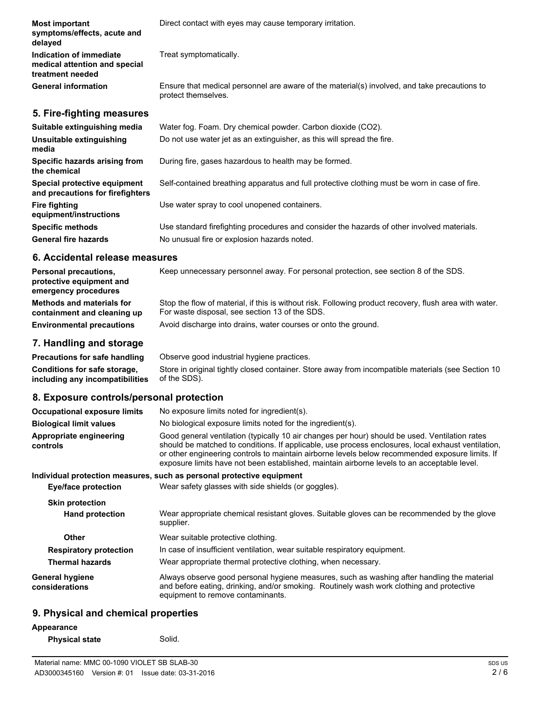| <b>Most important</b><br>symptoms/effects, acute and<br>delayed              | Direct contact with eyes may cause temporary irritation.                                                            |
|------------------------------------------------------------------------------|---------------------------------------------------------------------------------------------------------------------|
| Indication of immediate<br>medical attention and special<br>treatment needed | Treat symptomatically.                                                                                              |
| <b>General information</b>                                                   | Ensure that medical personnel are aware of the material(s) involved, and take precautions to<br>protect themselves. |
| 5. Fire-fighting measures                                                    |                                                                                                                     |
| Suitable extinguishing media                                                 | Water fog. Foam. Dry chemical powder. Carbon dioxide (CO2).                                                         |
| Unsuitable extinguishing<br>media                                            | Do not use water jet as an extinguisher, as this will spread the fire.                                              |
| Specific hazards arising from<br>the chemical                                | During fire, gases hazardous to health may be formed.                                                               |
| Special protective equipment<br>and precautions for firefighters             | Self-contained breathing apparatus and full protective clothing must be worn in case of fire.                       |
| <b>Fire fighting</b><br>equipment/instructions                               | Use water spray to cool unopened containers.                                                                        |
| <b>Specific methods</b>                                                      | Use standard firefighting procedures and consider the hazards of other involved materials.                          |

#### **6. Accidental release measures**

General fire hazards **No unusual fire or explosion hazards noted.** 

| <b>Personal precautions,</b><br>protective equipment and<br>emergency procedures | Keep unnecessary personnel away. For personal protection, see section 8 of the SDS.                                                                      |
|----------------------------------------------------------------------------------|----------------------------------------------------------------------------------------------------------------------------------------------------------|
| Methods and materials for<br>containment and cleaning up                         | Stop the flow of material, if this is without risk. Following product recovery, flush area with water.<br>For waste disposal, see section 13 of the SDS. |
| <b>Environmental precautions</b>                                                 | Avoid discharge into drains, water courses or onto the ground.                                                                                           |

### **7. Handling and storage**

**Precautions for safe handling** Observe good industrial hygiene practices. Store in original tightly closed container. Store away from incompatible materials (see Section 10 of the SDS). **Conditions for safe storage, including any incompatibilities**

### **8. Exposure controls/personal protection**

| <b>Occupational exposure limits</b>      | No exposure limits noted for ingredient(s).                                                                                                                                                                                                                                                                                                                                                            |
|------------------------------------------|--------------------------------------------------------------------------------------------------------------------------------------------------------------------------------------------------------------------------------------------------------------------------------------------------------------------------------------------------------------------------------------------------------|
| <b>Biological limit values</b>           | No biological exposure limits noted for the ingredient(s).                                                                                                                                                                                                                                                                                                                                             |
| Appropriate engineering<br>controls      | Good general ventilation (typically 10 air changes per hour) should be used. Ventilation rates<br>should be matched to conditions. If applicable, use process enclosures, local exhaust ventilation,<br>or other engineering controls to maintain airborne levels below recommended exposure limits. If<br>exposure limits have not been established, maintain airborne levels to an acceptable level. |
|                                          | Individual protection measures, such as personal protective equipment                                                                                                                                                                                                                                                                                                                                  |
| Eye/face protection                      | Wear safety glasses with side shields (or goggles).                                                                                                                                                                                                                                                                                                                                                    |
| <b>Skin protection</b>                   |                                                                                                                                                                                                                                                                                                                                                                                                        |
| <b>Hand protection</b>                   | Wear appropriate chemical resistant gloves. Suitable gloves can be recommended by the glove<br>supplier.                                                                                                                                                                                                                                                                                               |
| Other                                    | Wear suitable protective clothing.                                                                                                                                                                                                                                                                                                                                                                     |
| <b>Respiratory protection</b>            | In case of insufficient ventilation, wear suitable respiratory equipment.                                                                                                                                                                                                                                                                                                                              |
| <b>Thermal hazards</b>                   | Wear appropriate thermal protective clothing, when necessary.                                                                                                                                                                                                                                                                                                                                          |
| <b>General hygiene</b><br>considerations | Always observe good personal hygiene measures, such as washing after handling the material<br>and before eating, drinking, and/or smoking. Routinely wash work clothing and protective<br>equipment to remove contaminants.                                                                                                                                                                            |

# **9. Physical and chemical properties**

**Physical state** Solid.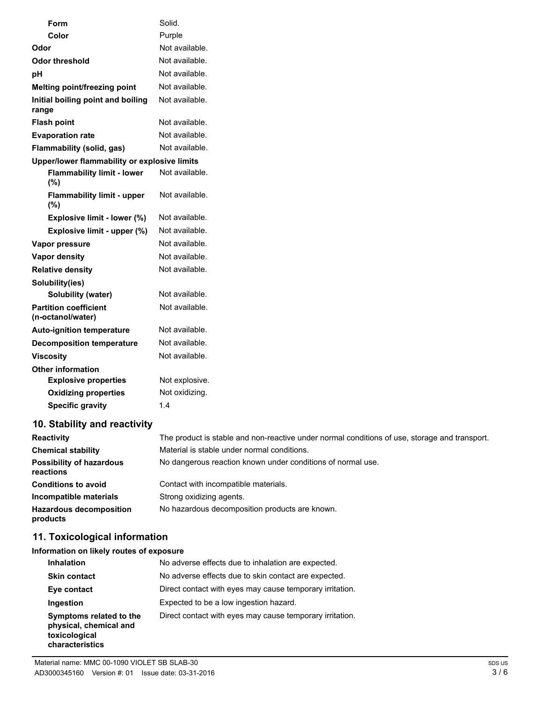| Form                                              | Solid.         |
|---------------------------------------------------|----------------|
| Color                                             | Purple         |
| Odor                                              | Not available. |
| Odor threshold                                    | Not available. |
| рH                                                | Not available. |
| Melting point/freezing point                      | Not available. |
| Initial boiling point and boiling<br>range        | Not available. |
| <b>Flash point</b>                                | Not available. |
| <b>Evaporation rate</b>                           | Not available. |
| Flammability (solid, gas)                         | Not available. |
| Upper/lower flammability or explosive limits      |                |
| <b>Flammability limit - lower</b><br>(%)          | Not available. |
| <b>Flammability limit - upper</b><br>(%)          | Not available. |
| Explosive limit - lower (%)                       | Not available. |
| Explosive limit - upper (%)                       | Not available. |
| Vapor pressure                                    | Not available. |
| <b>Vapor density</b>                              | Not available. |
| <b>Relative density</b>                           | Not available. |
| Solubility(ies)                                   |                |
| <b>Solubility (water)</b>                         | Not available. |
| <b>Partition coefficient</b><br>(n-octanol/water) | Not available. |
| <b>Auto-ignition temperature</b>                  | Not available. |
| <b>Decomposition temperature</b>                  | Not available. |
| <b>Viscosity</b>                                  | Not available. |
| <b>Other information</b>                          |                |
| <b>Explosive properties</b>                       | Not explosive. |
| <b>Oxidizing properties</b>                       | Not oxidizing. |
| <b>Specific gravity</b>                           | 1.4            |
| 10. Stability and reactivity                      |                |

# Reactivity The product is stable and non-reactive under normal conditions of use, storage and transport. **Chemical stability** Material is stable under normal conditions. **Possibility of hazardous** No dangerous reaction known under conditions of normal use. **reactions Conditions to avoid Contact with incompatible materials. Incompatible materials** Strong oxidizing agents. Hazardous decomposition No hazardous decomposition products are known. **products**

# **11. Toxicological information**

**Information on likely routes of exposure**

| <b>Inhalation</b>                                                                     | No adverse effects due to inhalation are expected.       |
|---------------------------------------------------------------------------------------|----------------------------------------------------------|
| <b>Skin contact</b>                                                                   | No adverse effects due to skin contact are expected.     |
| Eye contact                                                                           | Direct contact with eyes may cause temporary irritation. |
| Ingestion                                                                             | Expected to be a low ingestion hazard.                   |
| Symptoms related to the<br>physical, chemical and<br>toxicological<br>characteristics | Direct contact with eyes may cause temporary irritation. |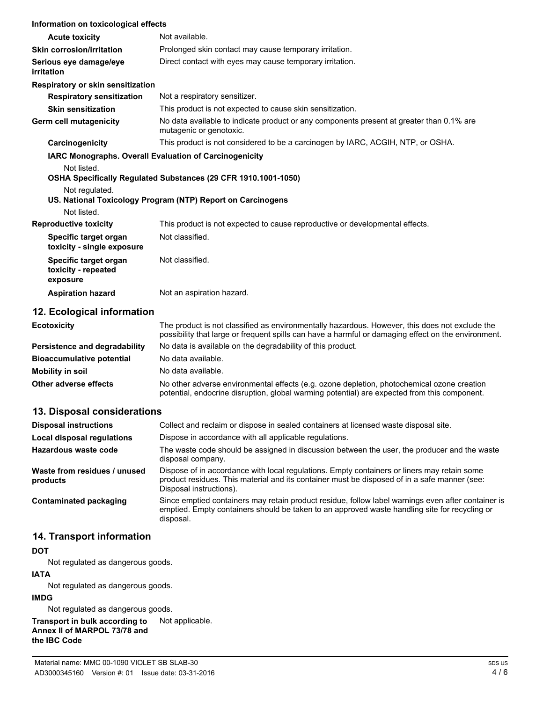| Information on toxicological effects                                                           |                                                                                                                               |
|------------------------------------------------------------------------------------------------|-------------------------------------------------------------------------------------------------------------------------------|
| <b>Acute toxicity</b>                                                                          | Not available.                                                                                                                |
| <b>Skin corrosion/irritation</b>                                                               | Prolonged skin contact may cause temporary irritation.                                                                        |
| Serious eye damage/eye<br>irritation                                                           | Direct contact with eyes may cause temporary irritation.                                                                      |
| Respiratory or skin sensitization                                                              |                                                                                                                               |
| <b>Respiratory sensitization</b>                                                               | Not a respiratory sensitizer.                                                                                                 |
| <b>Skin sensitization</b>                                                                      | This product is not expected to cause skin sensitization.                                                                     |
| <b>Germ cell mutagenicity</b>                                                                  | No data available to indicate product or any components present at greater than 0.1% are<br>mutagenic or genotoxic.           |
| Carcinogenicity                                                                                | This product is not considered to be a carcinogen by IARC, ACGIH, NTP, or OSHA.                                               |
| <b>IARC Monographs. Overall Evaluation of Carcinogenicity</b><br>Not listed.<br>Not regulated. | OSHA Specifically Regulated Substances (29 CFR 1910.1001-1050)<br>US. National Toxicology Program (NTP) Report on Carcinogens |
| Not listed.                                                                                    | This product is not expected to cause reproductive or developmental effects.                                                  |
| <b>Reproductive toxicity</b><br>Specific target organ<br>toxicity - single exposure            | Not classified.                                                                                                               |
| Specific target organ<br>toxicity - repeated<br>exposure                                       | Not classified.                                                                                                               |
| <b>Aspiration hazard</b>                                                                       | Not an aspiration hazard.                                                                                                     |

# **12. Ecological information**

| <b>Ecotoxicity</b>                   | The product is not classified as environmentally hazardous. However, this does not exclude the<br>possibility that large or frequent spills can have a harmful or damaging effect on the environment. |
|--------------------------------------|-------------------------------------------------------------------------------------------------------------------------------------------------------------------------------------------------------|
| <b>Persistence and degradability</b> | No data is available on the degradability of this product.                                                                                                                                            |
| <b>Bioaccumulative potential</b>     | No data available.                                                                                                                                                                                    |
| <b>Mobility in soil</b>              | No data available.                                                                                                                                                                                    |
| Other adverse effects                | No other adverse environmental effects (e.g. ozone depletion, photochemical ozone creation<br>potential, endocrine disruption, global warming potential) are expected from this component.            |

# **13. Disposal considerations**

| <b>Disposal instructions</b>             | Collect and reclaim or dispose in sealed containers at licensed waste disposal site.                                                                                                                                   |
|------------------------------------------|------------------------------------------------------------------------------------------------------------------------------------------------------------------------------------------------------------------------|
| Local disposal regulations               | Dispose in accordance with all applicable regulations.                                                                                                                                                                 |
| Hazardous waste code                     | The waste code should be assigned in discussion between the user, the producer and the waste<br>disposal company.                                                                                                      |
| Waste from residues / unused<br>products | Dispose of in accordance with local regulations. Empty containers or liners may retain some<br>product residues. This material and its container must be disposed of in a safe manner (see:<br>Disposal instructions). |
| Contaminated packaging                   | Since emptied containers may retain product residue, follow label warnings even after container is<br>emptied. Empty containers should be taken to an approved waste handling site for recycling or<br>disposal.       |

# **14. Transport information**

#### **DOT**

Not regulated as dangerous goods.

#### **IATA**

Not regulated as dangerous goods.

### **IMDG**

Not regulated as dangerous goods.

**Transport in bulk according to** Not applicable. **Annex II of MARPOL 73/78 and the IBC Code**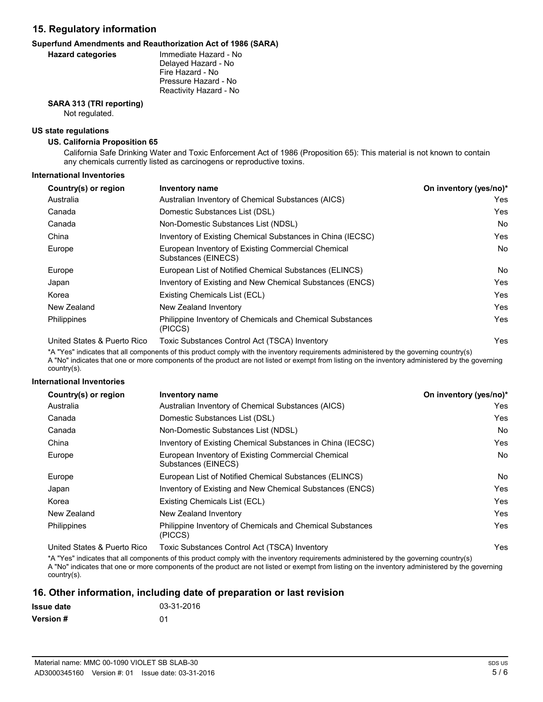### **15. Regulatory information**

#### **Superfund Amendments and Reauthorization Act of 1986 (SARA)**

#### **Hazard categories**

Immediate Hazard - No Delayed Hazard - No Fire Hazard - No Pressure Hazard - No Reactivity Hazard - No

# **SARA 313 (TRI reporting)**

Not regulated.

#### **US state regulations**

#### **US. California Proposition 65**

California Safe Drinking Water and Toxic Enforcement Act of 1986 (Proposition 65): This material is not known to contain any chemicals currently listed as carcinogens or reproductive toxins.

#### **International Inventories**

| Country(s) or region         | Inventory name                                                            | On inventory (yes/no)* |
|------------------------------|---------------------------------------------------------------------------|------------------------|
| Australia                    | Australian Inventory of Chemical Substances (AICS)                        | Yes                    |
| Canada                       | Domestic Substances List (DSL)                                            | Yes                    |
| Canada                       | Non-Domestic Substances List (NDSL)                                       | No.                    |
| China                        | Inventory of Existing Chemical Substances in China (IECSC)                | Yes                    |
| Europe                       | European Inventory of Existing Commercial Chemical<br>Substances (EINECS) | No.                    |
| Europe                       | European List of Notified Chemical Substances (ELINCS)                    | No.                    |
| Japan                        | Inventory of Existing and New Chemical Substances (ENCS)                  | Yes                    |
| Korea                        | Existing Chemicals List (ECL)                                             | Yes                    |
| New Zealand                  | New Zealand Inventory                                                     | Yes                    |
| Philippines                  | Philippine Inventory of Chemicals and Chemical Substances<br>(PICCS)      | Yes                    |
| Llaited Ctates & Duarte Dies | $Tavi0$ Cubetanese Control Ast (TCCA) Inventory                           | $V_{\alpha\alpha}$     |

United States & Puerto Rico Toxic Substances Control Act (TSCA) Inventory Nesset Act (TSCA) Inventory Act (TSCA)

\*A "Yes" indicates that all components of this product comply with the inventory requirements administered by the governing country(s) A "No" indicates that one or more components of the product are not listed or exempt from listing on the inventory administered by the governing country(s).

#### **International Inventories**

| Country(s) or region        | Inventory name                                                            | On inventory (yes/no)* |
|-----------------------------|---------------------------------------------------------------------------|------------------------|
| Australia                   | Australian Inventory of Chemical Substances (AICS)                        | Yes.                   |
| Canada                      | Domestic Substances List (DSL)                                            | Yes                    |
| Canada                      | Non-Domestic Substances List (NDSL)                                       | No.                    |
| China                       | Inventory of Existing Chemical Substances in China (IECSC)                | Yes                    |
| Europe                      | European Inventory of Existing Commercial Chemical<br>Substances (EINECS) | No.                    |
| Europe                      | European List of Notified Chemical Substances (ELINCS)                    | No.                    |
| Japan                       | Inventory of Existing and New Chemical Substances (ENCS)                  | Yes                    |
| Korea                       | Existing Chemicals List (ECL)                                             | Yes                    |
| New Zealand                 | New Zealand Inventory                                                     | Yes                    |
| <b>Philippines</b>          | Philippine Inventory of Chemicals and Chemical Substances<br>(PICCS)      | Yes                    |
| United States & Puerto Rico | Toxic Substances Control Act (TSCA) Inventory                             | Yes                    |

\*A "Yes" indicates that all components of this product comply with the inventory requirements administered by the governing country(s) A "No" indicates that one or more components of the product are not listed or exempt from listing on the inventory administered by the governing country(s).

### **16. Other information, including date of preparation or last revision**

| <b>Issue date</b> | 03-31-2016 |
|-------------------|------------|
| <b>Version #</b>  | .በ1        |